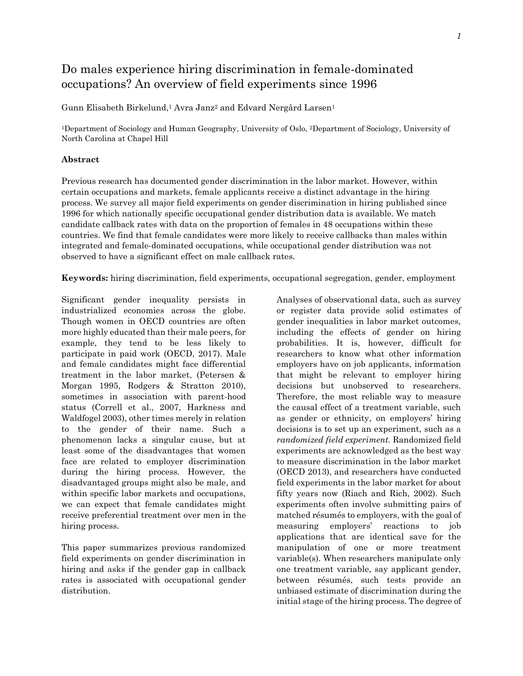# Do males experience hiring discrimination in female-dominated occupations? An overview of field experiments since 1996

Gunn Elisabeth Birkelund, <sup>1</sup> Avra Janz<sup>2</sup> and Edvard Nergård Larsen<sup>1</sup>

<sup>1</sup>Department of Sociology and Human Geography, University of Oslo, <sup>2</sup>Department of Sociology, University of North Carolina at Chapel Hill

#### **Abstract**

Previous research has documented gender discrimination in the labor market. However, within certain occupations and markets, female applicants receive a distinct advantage in the hiring process. We survey all major field experiments on gender discrimination in hiring published since 1996 for which nationally specific occupational gender distribution data is available. We match candidate callback rates with data on the proportion of females in 48 occupations within these countries. We find that female candidates were more likely to receive callbacks than males within integrated and female-dominated occupations, while occupational gender distribution was not observed to have a significant effect on male callback rates.

**Keywords:** hiring discrimination, field experiments, occupational segregation, gender, employment

Significant gender inequality persists in industrialized economies across the globe. Though women in OECD countries are often more highly educated than their male peers, for example, they tend to be less likely to participate in paid work (OECD, 2017). Male and female candidates might face differential treatment in the labor market, (Petersen & Morgan 1995, Rodgers & Stratton 2010), sometimes in association with parent-hood status (Correll et al., 2007, Harkness and Waldfogel 2003), other times merely in relation to the gender of their name. Such a phenomenon lacks a singular cause, but at least some of the disadvantages that women face are related to employer discrimination during the hiring process. However, the disadvantaged groups might also be male, and within specific labor markets and occupations, we can expect that female candidates might receive preferential treatment over men in the hiring process.

This paper summarizes previous randomized field experiments on gender discrimination in hiring and asks if the gender gap in callback rates is associated with occupational gender distribution.

Analyses of observational data, such as survey or register data provide solid estimates of gender inequalities in labor market outcomes, including the effects of gender on hiring probabilities. It is, however, difficult for researchers to know what other information employers have on job applicants, information that might be relevant to employer hiring decisions but unobserved to researchers. Therefore, the most reliable way to measure the causal effect of a treatment variable, such as gender or ethnicity, on employers' hiring decisions is to set up an experiment, such as a *randomized field experiment.* Randomized field experiments are acknowledged as the best way to measure discrimination in the labor market (OECD 2013), and researchers have conducted field experiments in the labor market for about fifty years now (Riach and Rich, 2002). Such experiments often involve submitting pairs of matched résumés to employers, with the goal of measuring employers' reactions to job applications that are identical save for the manipulation of one or more treatment variable(s). When researchers manipulate only one treatment variable, say applicant gender, between résumés, such tests provide an unbiased estimate of discrimination during the initial stage of the hiring process. The degree of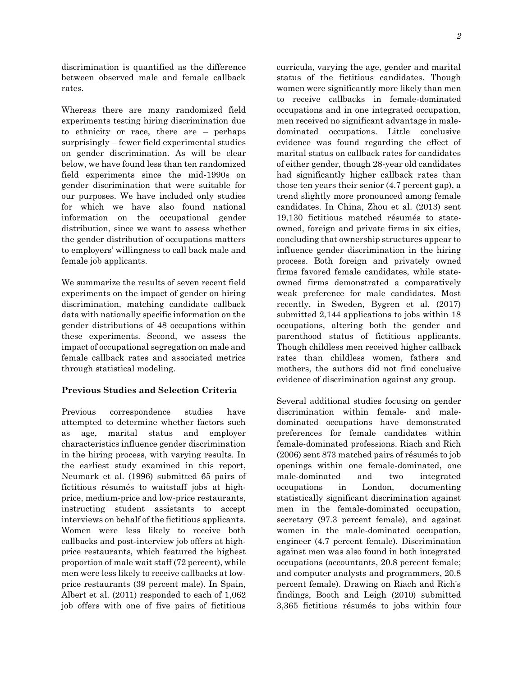discrimination is quantified as the difference between observed male and female callback

Whereas there are many randomized field experiments testing hiring discrimination due to ethnicity or race, there are – perhaps surprisingly – fewer field experimental studies on gender discrimination. As will be clear below, we have found less than ten randomized field experiments since the mid-1990s on gender discrimination that were suitable for our purposes. We have included only studies for which we have also found national information on the occupational gender distribution, since we want to assess whether the gender distribution of occupations matters to employers' willingness to call back male and female job applicants.

rates.

We summarize the results of seven recent field experiments on the impact of gender on hiring discrimination, matching candidate callback data with nationally specific information on the gender distributions of 48 occupations within these experiments. Second, we assess the impact of occupational segregation on male and female callback rates and associated metrics through statistical modeling.

# **Previous Studies and Selection Criteria**

Previous correspondence studies have attempted to determine whether factors such as age, marital status and employer characteristics influence gender discrimination in the hiring process, with varying results. In the earliest study examined in this report, Neumark et al. (1996) submitted 65 pairs of fictitious résumés to waitstaff jobs at highprice, medium-price and low-price restaurants, instructing student assistants to accept interviews on behalf of the fictitious applicants. Women were less likely to receive both callbacks and post-interview job offers at highprice restaurants, which featured the highest proportion of male wait staff (72 percent), while men were less likely to receive callbacks at lowprice restaurants (39 percent male). In Spain, Albert et al. (2011) responded to each of 1,062 job offers with one of five pairs of fictitious

curricula, varying the age, gender and marital status of the fictitious candidates. Though women were significantly more likely than men to receive callbacks in female-dominated occupations and in one integrated occupation, men received no significant advantage in maledominated occupations. Little conclusive evidence was found regarding the effect of marital status on callback rates for candidates of either gender, though 28-year old candidates had significantly higher callback rates than those ten years their senior (4.7 percent gap), a trend slightly more pronounced among female candidates. In China, Zhou et al. (2013) sent 19,130 fictitious matched résumés to stateowned, foreign and private firms in six cities, concluding that ownership structures appear to influence gender discrimination in the hiring process. Both foreign and privately owned firms favored female candidates, while stateowned firms demonstrated a comparatively weak preference for male candidates. Most recently, in Sweden, Bygren et al. (2017) submitted 2,144 applications to jobs within 18 occupations, altering both the gender and parenthood status of fictitious applicants. Though childless men received higher callback rates than childless women, fathers and mothers, the authors did not find conclusive evidence of discrimination against any group.

Several additional studies focusing on gender discrimination within female- and maledominated occupations have demonstrated preferences for female candidates within female-dominated professions. Riach and Rich (2006) sent 873 matched pairs of résumés to job openings within one female-dominated, one male-dominated and two integrated occupations in London, documenting statistically significant discrimination against men in the female-dominated occupation, secretary (97.3 percent female), and against women in the male-dominated occupation, engineer (4.7 percent female). Discrimination against men was also found in both integrated occupations (accountants, 20.8 percent female; and computer analysts and programmers, 20.8 percent female). Drawing on Riach and Rich's findings, Booth and Leigh (2010) submitted 3,365 fictitious résumés to jobs within four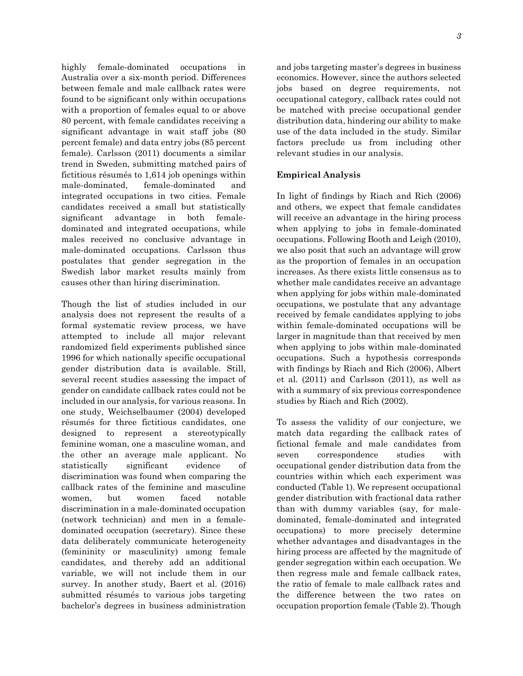highly female-dominated occupations in Australia over a six-month period. Differences between female and male callback rates were found to be significant only within occupations with a proportion of females equal to or above 80 percent, with female candidates receiving a significant advantage in wait staff jobs (80 percent female) and data entry jobs (85 percent female). Carlsson (2011) documents a similar trend in Sweden, submitting matched pairs of fictitious résumés to 1,614 job openings within male-dominated, female-dominated and integrated occupations in two cities. Female candidates received a small but statistically significant advantage in both femaledominated and integrated occupations, while males received no conclusive advantage in male-dominated occupations. Carlsson thus postulates that gender segregation in the Swedish labor market results mainly from causes other than hiring discrimination.

Though the list of studies included in our analysis does not represent the results of a formal systematic review process, we have attempted to include all major relevant randomized field experiments published since 1996 for which nationally specific occupational gender distribution data is available. Still, several recent studies assessing the impact of gender on candidate callback rates could not be included in our analysis, for various reasons. In one study, Weichselbaumer (2004) developed résumés for three fictitious candidates, one designed to represent a stereotypically feminine woman, one a masculine woman, and the other an average male applicant. No statistically significant evidence of discrimination was found when comparing the callback rates of the feminine and masculine women, but women faced notable discrimination in a male-dominated occupation (network technician) and men in a femaledominated occupation (secretary). Since these data deliberately communicate heterogeneity (femininity or masculinity) among female candidates, and thereby add an additional variable, we will not include them in our survey. In another study, Baert et al. (2016) submitted résumés to various jobs targeting bachelor's degrees in business administration

and jobs targeting master's degrees in business economics. However, since the authors selected jobs based on degree requirements, not occupational category, callback rates could not be matched with precise occupational gender distribution data, hindering our ability to make use of the data included in the study. Similar factors preclude us from including other relevant studies in our analysis.

## **Empirical Analysis**

In light of findings by Riach and Rich (2006) and others, we expect that female candidates will receive an advantage in the hiring process when applying to jobs in female-dominated occupations. Following Booth and Leigh (2010), we also posit that such an advantage will grow as the proportion of females in an occupation increases. As there exists little consensus as to whether male candidates receive an advantage when applying for jobs within male-dominated occupations, we postulate that any advantage received by female candidates applying to jobs within female-dominated occupations will be larger in magnitude than that received by men when applying to jobs within male-dominated occupations. Such a hypothesis corresponds with findings by Riach and Rich (2006), Albert et al. (2011) and Carlsson (2011), as well as with a summary of six previous correspondence studies by Riach and Rich (2002).

To assess the validity of our conjecture, we match data regarding the callback rates of fictional female and male candidates from seven correspondence studies with occupational gender distribution data from the countries within which each experiment was conducted (Table 1). We represent occupational gender distribution with fractional data rather than with dummy variables (say, for maledominated, female-dominated and integrated occupations) to more precisely determine whether advantages and disadvantages in the hiring process are affected by the magnitude of gender segregation within each occupation. We then regress male and female callback rates, the ratio of female to male callback rates and the difference between the two rates on occupation proportion female (Table 2). Though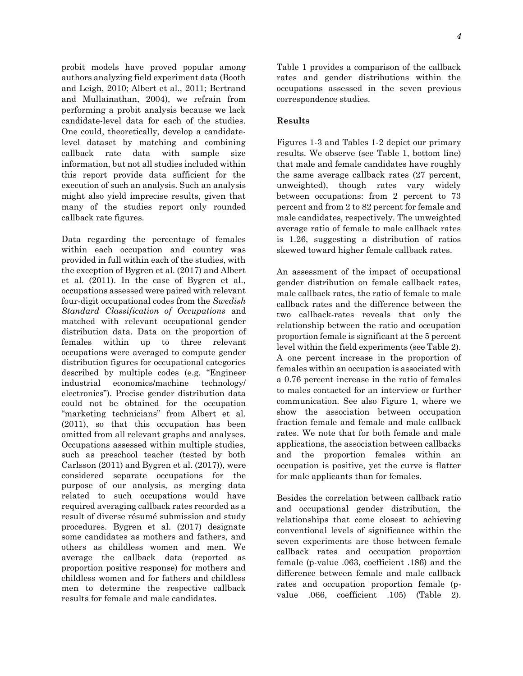probit models have proved popular among authors analyzing field experiment data (Booth and Leigh, 2010; Albert et al., 2011; Bertrand and Mullainathan, 2004), we refrain from performing a probit analysis because we lack candidate-level data for each of the studies. One could, theoretically, develop a candidatelevel dataset by matching and combining callback rate data with sample size information, but not all studies included within this report provide data sufficient for the execution of such an analysis. Such an analysis might also yield imprecise results, given that many of the studies report only rounded callback rate figures.

Data regarding the percentage of females within each occupation and country was provided in full within each of the studies, with the exception of Bygren et al. (2017) and Albert et al. (2011). In the case of Bygren et al., occupations assessed were paired with relevant four-digit occupational codes from the *Swedish Standard Classification of Occupations* and matched with relevant occupational gender distribution data. Data on the proportion of females within up to three relevant occupations were averaged to compute gender distribution figures for occupational categories described by multiple codes (e.g. "Engineer industrial economics/machine technology/ electronics"). Precise gender distribution data could not be obtained for the occupation "marketing technicians" from Albert et al. (2011), so that this occupation has been omitted from all relevant graphs and analyses. Occupations assessed within multiple studies, such as preschool teacher (tested by both Carlsson (2011) and Bygren et al. (2017)), were considered separate occupations for the purpose of our analysis, as merging data related to such occupations would have required averaging callback rates recorded as a result of diverse résumé submission and study procedures. Bygren et al. (2017) designate some candidates as mothers and fathers, and others as childless women and men. We average the callback data (reported as proportion positive response) for mothers and childless women and for fathers and childless men to determine the respective callback results for female and male candidates.

Table 1 provides a comparison of the callback rates and gender distributions within the occupations assessed in the seven previous correspondence studies.

#### **Results**

Figures 1-3 and Tables 1-2 depict our primary results. We observe (see Table 1, bottom line) that male and female candidates have roughly the same average callback rates (27 percent, unweighted), though rates vary widely between occupations: from 2 percent to 73 percent and from 2 to 82 percent for female and male candidates, respectively. The unweighted average ratio of female to male callback rates is 1.26, suggesting a distribution of ratios skewed toward higher female callback rates.

An assessment of the impact of occupational gender distribution on female callback rates, male callback rates, the ratio of female to male callback rates and the difference between the two callback-rates reveals that only the relationship between the ratio and occupation proportion female is significant at the 5 percent level within the field experiments (see Table 2). A one percent increase in the proportion of females within an occupation is associated with a 0.76 percent increase in the ratio of females to males contacted for an interview or further communication. See also Figure 1, where we show the association between occupation fraction female and female and male callback rates. We note that for both female and male applications, the association between callbacks and the proportion females within an occupation is positive, yet the curve is flatter for male applicants than for females.

Besides the correlation between callback ratio and occupational gender distribution, the relationships that come closest to achieving conventional levels of significance within the seven experiments are those between female callback rates and occupation proportion female (p-value .063, coefficient .186) and the difference between female and male callback rates and occupation proportion female (pvalue .066, coefficient .105) (Table 2).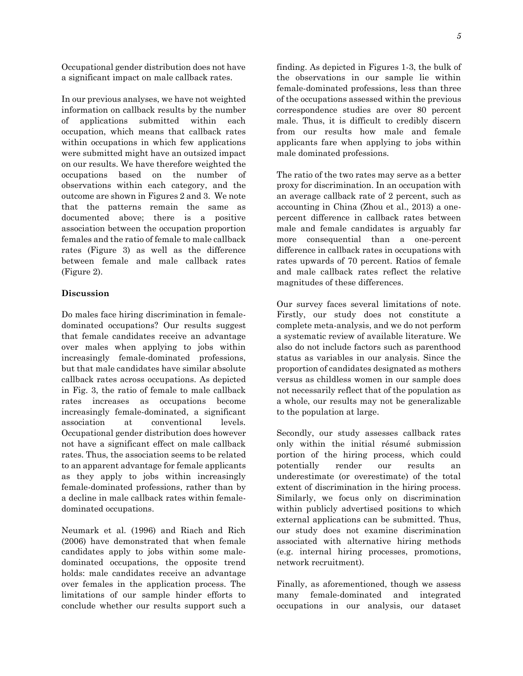Occupational gender distribution does not have a significant impact on male callback rates.

In our previous analyses, we have not weighted information on callback results by the number of applications submitted within each occupation, which means that callback rates within occupations in which few applications were submitted might have an outsized impact on our results. We have therefore weighted the occupations based on the number of observations within each category, and the outcome are shown in Figures 2 and 3. We note that the patterns remain the same as documented above; there is a positive association between the occupation proportion females and the ratio of female to male callback rates (Figure 3) as well as the difference between female and male callback rates (Figure 2).

### **Discussion**

Do males face hiring discrimination in femaledominated occupations? Our results suggest that female candidates receive an advantage over males when applying to jobs within increasingly female-dominated professions, but that male candidates have similar absolute callback rates across occupations. As depicted in Fig. 3, the ratio of female to male callback rates increases as occupations become increasingly female-dominated, a significant association at conventional levels. Occupational gender distribution does however not have a significant effect on male callback rates. Thus, the association seems to be related to an apparent advantage for female applicants as they apply to jobs within increasingly female-dominated professions, rather than by a decline in male callback rates within femaledominated occupations.

Neumark et al. (1996) and Riach and Rich (2006) have demonstrated that when female candidates apply to jobs within some maledominated occupations, the opposite trend holds: male candidates receive an advantage over females in the application process. The limitations of our sample hinder efforts to conclude whether our results support such a finding. As depicted in Figures 1-3, the bulk of the observations in our sample lie within female-dominated professions, less than three of the occupations assessed within the previous correspondence studies are over 80 percent male. Thus, it is difficult to credibly discern from our results how male and female applicants fare when applying to jobs within male dominated professions.

The ratio of the two rates may serve as a better proxy for discrimination. In an occupation with an average callback rate of 2 percent, such as accounting in China (Zhou et al., 2013) a onepercent difference in callback rates between male and female candidates is arguably far more consequential than a one-percent difference in callback rates in occupations with rates upwards of 70 percent. Ratios of female and male callback rates reflect the relative magnitudes of these differences.

Our survey faces several limitations of note. Firstly, our study does not constitute a complete meta-analysis, and we do not perform a systematic review of available literature. We also do not include factors such as parenthood status as variables in our analysis. Since the proportion of candidates designated as mothers versus as childless women in our sample does not necessarily reflect that of the population as a whole, our results may not be generalizable to the population at large.

Secondly, our study assesses callback rates only within the initial résumé submission portion of the hiring process, which could potentially render our results an underestimate (or overestimate) of the total extent of discrimination in the hiring process. Similarly, we focus only on discrimination within publicly advertised positions to which external applications can be submitted. Thus, our study does not examine discrimination associated with alternative hiring methods (e.g. internal hiring processes, promotions, network recruitment).

Finally, as aforementioned, though we assess many female-dominated and integrated occupations in our analysis, our dataset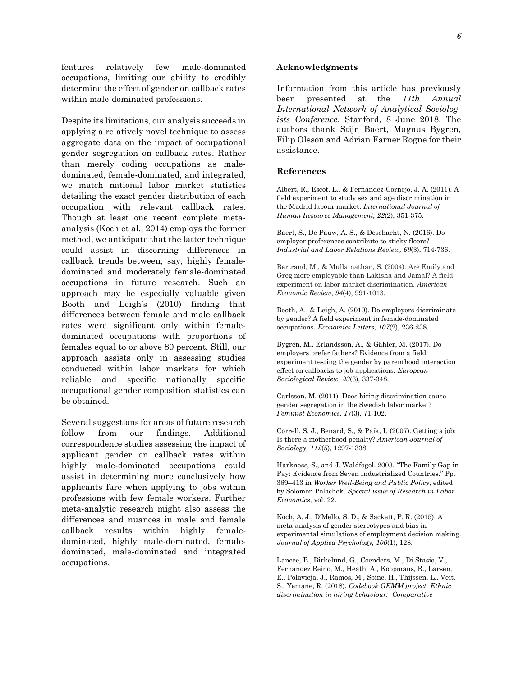features relatively few male-dominated occupations, limiting our ability to credibly determine the effect of gender on callback rates within male-dominated professions.

Despite its limitations, our analysis succeeds in applying a relatively novel technique to assess aggregate data on the impact of occupational gender segregation on callback rates. Rather than merely coding occupations as maledominated, female-dominated, and integrated, we match national labor market statistics detailing the exact gender distribution of each occupation with relevant callback rates. Though at least one recent complete metaanalysis (Koch et al., 2014) employs the former method, we anticipate that the latter technique could assist in discerning differences in callback trends between, say, highly femaledominated and moderately female-dominated occupations in future research. Such an approach may be especially valuable given Booth and Leigh's (2010) finding that differences between female and male callback rates were significant only within femaledominated occupations with proportions of females equal to or above 80 percent. Still, our approach assists only in assessing studies conducted within labor markets for which reliable and specific nationally specific occupational gender composition statistics can be obtained.

Several suggestions for areas of future research follow from our findings. Additional correspondence studies assessing the impact of applicant gender on callback rates within highly male-dominated occupations could assist in determining more conclusively how applicants fare when applying to jobs within professions with few female workers. Further meta-analytic research might also assess the differences and nuances in male and female callback results within highly femaledominated, highly male-dominated, femaledominated, male-dominated and integrated occupations.

#### **Acknowledgments**

Information from this article has previously been presented at the *11th Annual International Network of Analytical Sociologists Conference*, Stanford, 8 June 2018. The authors thank Stijn Baert, Magnus Bygren, Filip Olsson and Adrian Farner Rogne for their assistance.

#### **References**

Albert, R., Escot, L., & Fernandez-Cornejo, J. A. (2011). A field experiment to study sex and age discrimination in the Madrid labour market. *International Journal of Human Resource Management, 22*(2), 351-375.

Baert, S., De Pauw, A. S., & Deschacht, N. (2016). Do employer preferences contribute to sticky floors? *Industrial and Labor Relations Review, 69*(3), 714-736.

Bertrand, M., & Mullainathan, S. (2004). Are Emily and Greg more employable than Lakisha and Jamal? A field experiment on labor market discrimination. *American Economic Review*, *94*(4), 991-1013.

Booth, A., & Leigh, A. (2010). Do employers discriminate by gender? A field experiment in female-dominated occupations. *Economics Letters, 107*(2), 236-238.

Bygren, M., Erlandsson, A., & Gähler, M. (2017). Do employers prefer fathers? Evidence from a field experiment testing the gender by parenthood interaction effect on callbacks to job applications*. European Sociological Review, 33*(3), 337-348.

Carlsson, M. (2011). Does hiring discrimination cause gender segregation in the Swedish labor market? *Feminist Economics, 17*(3), 71-102.

Correll, S. J., Benard, S., & Paik, I. (2007). Getting a job: Is there a motherhood penalty? *American Journal of Sociology, 112*(5), 1297-1338.

Harkness, S., and J. Waldfogel. 2003. "The Family Gap in Pay: Evidence from Seven Industrialized Countries." Pp. 369–413 in *Worker Well-Being and Public Policy*, edited by Solomon Polachek. *Special issue of Research in Labor Economics*, vol. 22.

Koch, A. J., D'Mello, S. D., & Sackett, P. R. (2015). A meta-analysis of gender stereotypes and bias in experimental simulations of employment decision making. *Journal of Applied Psychology, 100*(1), 128.

Lancee, B., Birkelund, G., Coenders, M., Di Stasio, V., Fernandez Reino, M., Heath, A., Koopmans, R., Larsen, E., Polavieja, J., Ramos, M., Soine, H., Thijssen, L., Veit, S., Yemane, R. (2018). *Codebook GEMM project. Ethnic discrimination in hiring behaviour: Comparative*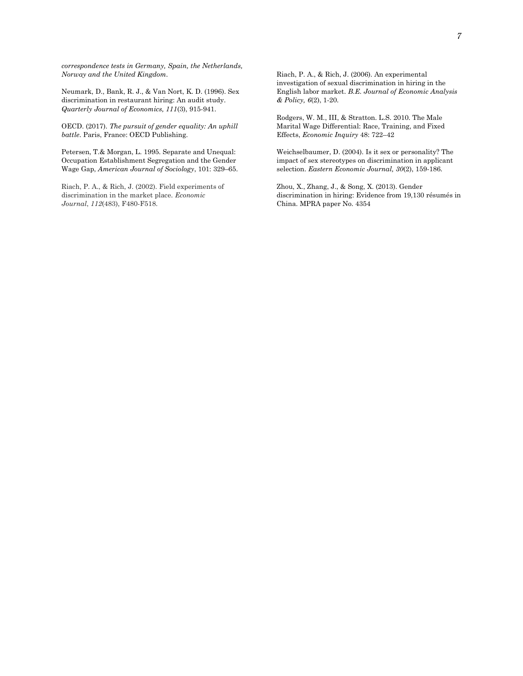*correspondence tests in Germany, Spain, the Netherlands, Norway and the United Kingdom*.

Neumark, D., Bank, R. J., & Van Nort, K. D. (1996). Sex discrimination in restaurant hiring: An audit study. *Quarterly Journal of Economics, 111*(3), 915-941.

OECD. (2017). *The pursuit of gender equality: An uphill battle*. Paris, France: OECD Publishing.

Petersen, T.& Morgan, L. 1995. Separate and Unequal: Occupation Establishment Segregation and the Gender Wage Gap, *American Journal of Sociology*, 101: 329–65.

Riach, P. A., & Rich, J. (2002). Field experiments of discrimination in the market place. *Economic Journal*, *112*(483), F480-F518.

Riach, P. A., & Rich, J. (2006). An experimental investigation of sexual discrimination in hiring in the English labor market. *B.E. Journal of Economic Analysis & Policy, 6*(2), 1-20.

Rodgers, W. M., III, & Stratton. L.S. 2010. The Male Marital Wage Differential: Race, Training, and Fixed Effects, *Economic Inquiry* 48: 722–42

Weichselbaumer, D. (2004). Is it sex or personality? The impact of sex stereotypes on discrimination in applicant selection. *Eastern Economic Journal, 30*(2), 159-186.

Zhou, X., Zhang, J., & Song, X. (2013). Gender discrimination in hiring: Evidence from 19,130 résumés in China. MPRA paper No. 4354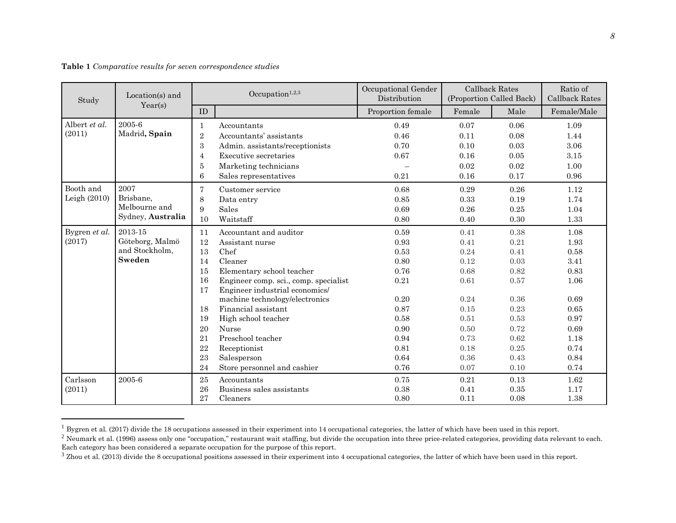|  |  |  |  | Table 1 Comparative results for seven correspondence studies |  |
|--|--|--|--|--------------------------------------------------------------|--|
|--|--|--|--|--------------------------------------------------------------|--|

 $\overline{a}$ 

| Study          | Location(s) and<br>Year(s) | Occupation $1,2,3$ |                                       | Occupational Gender<br>Distribution | <b>Callback Rates</b><br>(Proportion Called Back) |      | Ratio of<br><b>Callback Rates</b> |
|----------------|----------------------------|--------------------|---------------------------------------|-------------------------------------|---------------------------------------------------|------|-----------------------------------|
|                |                            | ${\rm ID}$         |                                       | Proportion female                   | Female                                            | Male | Female/Male                       |
| Albert et al.  | 2005-6                     | 1                  | Accountants                           | 0.49                                | 0.07                                              | 0.06 | 1.09                              |
| (2011)         | Madrid, Spain              | $\overline{2}$     | Accountants' assistants               | 0.46                                | 0.11                                              | 0.08 | 1.44                              |
|                |                            | 3                  | Admin. assistants/receptionists       | 0.70                                | 0.10                                              | 0.03 | 3.06                              |
|                |                            | $\overline{4}$     | Executive secretaries                 | 0.67                                | 0.16                                              | 0.05 | 3.15                              |
|                |                            | 5                  | Marketing technicians                 |                                     | 0.02                                              | 0.02 | 1.00                              |
|                |                            | 6                  | Sales representatives                 | 0.21                                | 0.16                                              | 0.17 | 0.96                              |
| Booth and      | 2007                       | 7                  | Customer service                      | 0.68                                | 0.29                                              | 0.26 | 1.12                              |
| Leigh $(2010)$ | Brisbane,                  | 8                  | Data entry                            | 0.85                                | 0.33                                              | 0.19 | 1.74                              |
|                | Melbourne and              | 9                  | Sales                                 | 0.69                                | 0.26                                              | 0.25 | 1.04                              |
|                | Sydney, Australia          | 10                 | Waitstaff                             | 0.80                                | 0.40                                              | 0.30 | 1.33                              |
| Bygren et al.  | 2013-15                    | 11                 | Accountant and auditor                | 0.59                                | 0.41                                              | 0.38 | 1.08                              |
| (2017)         | Göteborg, Malmö            | 12                 | Assistant nurse                       | 0.93                                | 0.41                                              | 0.21 | 1.93                              |
|                | and Stockholm,             | 13                 | Chef                                  | 0.53                                | 0.24                                              | 0.41 | 0.58                              |
|                | Sweden                     | 14                 | Cleaner                               | 0.80                                | 0.12                                              | 0.03 | 3.41                              |
|                |                            | 15                 | Elementary school teacher             | 0.76                                | 0.68                                              | 0.82 | 0.83                              |
|                |                            | 16                 | Engineer comp. sci., comp. specialist | 0.21                                | 0.61                                              | 0.57 | 1.06                              |
|                |                            | 17                 | Engineer industrial economics/        |                                     |                                                   |      |                                   |
|                |                            |                    | machine technology/electronics        | 0.20                                | 0.24                                              | 0.36 | 0.69                              |
|                |                            | 18                 | Financial assistant                   | 0.87                                | 0.15                                              | 0.23 | $\,0.65\,$                        |
|                |                            | 19                 | High school teacher                   | 0.58                                | 0.51                                              | 0.53 | 0.97                              |
|                |                            | 20                 | <b>Nurse</b>                          | 0.90                                | 0.50                                              | 0.72 | 0.69                              |
|                |                            | 21                 | Preschool teacher                     | 0.94                                | 0.73                                              | 0.62 | 1.18                              |
|                |                            | 22                 | Receptionist                          | 0.81                                | 0.18                                              | 0.25 | 0.74                              |
|                |                            | 23                 | Salesperson                           | 0.64                                | 0.36                                              | 0.43 | 0.84                              |
|                |                            | 24                 | Store personnel and cashier           | 0.76                                | 0.07                                              | 0.10 | 0.74                              |
| Carlsson       | 2005-6                     | 25                 | Accountants                           | 0.75                                | 0.21                                              | 0.13 | 1.62                              |
| (2011)         |                            | 26                 | Business sales assistants             | 0.38                                | 0.41                                              | 0.35 | 1.17                              |
|                |                            | 27                 | Cleaners                              | 0.80                                | 0.11                                              | 0.08 | 1.38                              |

 $^1$  Bygren et al. (2017) divide the 18 occupations assessed in their experiment into 14 occupational categories, the latter of which have been used in this report.

<sup>&</sup>lt;sup>2</sup> Neumark et al. (1996) assess only one "occupation," restaurant wait staffing, but divide the occupation into three price-related categories, providing data relevant to each. Each category has been considered a separate occupation for the purpose of this report.

<sup>&</sup>lt;sup>3</sup> Zhou et al. (2013) divide the 8 occupational positions assessed in their experiment into 4 occupational categories, the latter of which have been used in this report.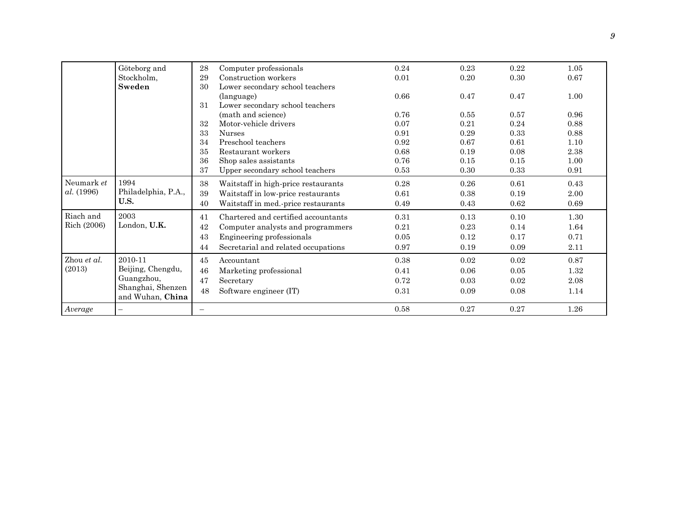|                                 | Göteborg and                                         | 28 | Computer professionals              | 0.24 | 0.23 | 0.22 | 1.05 |
|---------------------------------|------------------------------------------------------|----|-------------------------------------|------|------|------|------|
|                                 | Stockholm,                                           | 29 | Construction workers                | 0.01 | 0.20 | 0.30 | 0.67 |
|                                 | Sweden                                               | 30 | Lower secondary school teachers     |      |      |      |      |
|                                 |                                                      |    | (language)                          | 0.66 | 0.47 | 0.47 | 1.00 |
|                                 |                                                      | 31 | Lower secondary school teachers     |      |      |      |      |
|                                 |                                                      |    | (math and science)                  | 0.76 | 0.55 | 0.57 | 0.96 |
|                                 |                                                      | 32 | Motor-vehicle drivers               | 0.07 | 0.21 | 0.24 | 0.88 |
|                                 |                                                      | 33 | <b>Nurses</b>                       | 0.91 | 0.29 | 0.33 | 0.88 |
|                                 |                                                      | 34 | Preschool teachers                  | 0.92 | 0.67 | 0.61 | 1.10 |
|                                 |                                                      | 35 | Restaurant workers                  | 0.68 | 0.19 | 0.08 | 2.38 |
|                                 |                                                      | 36 | Shop sales assistants               | 0.76 | 0.15 | 0.15 | 1.00 |
|                                 |                                                      | 37 | Upper secondary school teachers     | 0.53 | 0.30 | 0.33 | 0.91 |
| Neumark et<br><i>al.</i> (1996) | 1994<br>Philadelphia, P.A.,<br>U.S.                  | 38 | Waitstaff in high-price restaurants | 0.28 | 0.26 | 0.61 | 0.43 |
|                                 |                                                      | 39 | Waitstaff in low-price restaurants  | 0.61 | 0.38 | 0.19 | 2.00 |
|                                 |                                                      | 40 | Waitstaff in med.-price restaurants | 0.49 | 0.43 | 0.62 | 0.69 |
| Riach and                       | 2003                                                 | 41 | Chartered and certified accountants | 0.31 | 0.13 | 0.10 | 1.30 |
| Rich (2006)                     | London, U.K.                                         | 42 | Computer analysts and programmers   | 0.21 | 0.23 | 0.14 | 1.64 |
|                                 |                                                      | 43 | Engineering professionals           | 0.05 | 0.12 | 0.17 | 0.71 |
|                                 |                                                      | 44 | Secretarial and related occupations | 0.97 | 0.19 | 0.09 | 2.11 |
| Zhou et al.                     | 2010-11                                              | 45 | Accountant                          | 0.38 | 0.02 | 0.02 | 0.87 |
| (2013)                          | Beijing, Chengdu,<br>Guangzhou,<br>Shanghai, Shenzen | 46 | Marketing professional              | 0.41 | 0.06 | 0.05 | 1.32 |
|                                 |                                                      | 47 | Secretary                           | 0.72 | 0.03 | 0.02 | 2.08 |
|                                 |                                                      | 48 | Software engineer (IT)              | 0.31 | 0.09 | 0.08 | 1.14 |
|                                 | and Wuhan, China                                     |    |                                     |      |      |      |      |
| $\label{eq:average} Average$    |                                                      |    |                                     | 0.58 | 0.27 | 0.27 | 1.26 |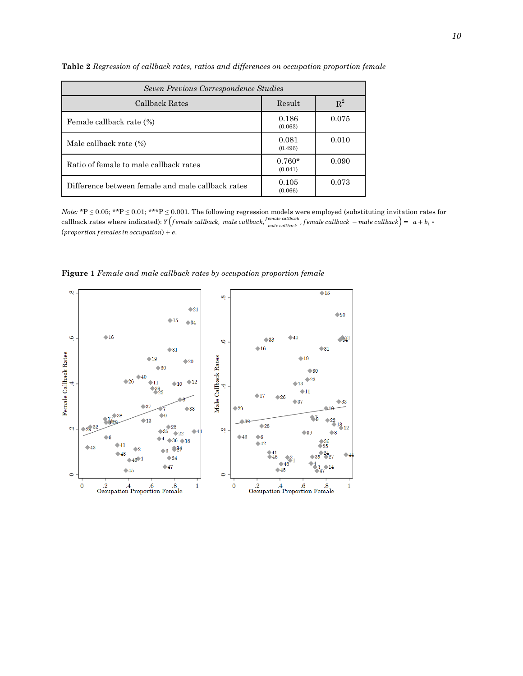| Seven Previous Correspondence Studies             |                     |       |  |  |  |
|---------------------------------------------------|---------------------|-------|--|--|--|
| Callback Rates                                    | Result              | $R^2$ |  |  |  |
| Female callback rate (%)                          | 0.186<br>(0.063)    | 0.075 |  |  |  |
| Male callback rate $(\% )$                        | 0.081<br>(0.496)    | 0.010 |  |  |  |
| Ratio of female to male callback rates            | $0.760*$<br>(0.041) | 0.090 |  |  |  |
| Difference between female and male callback rates | 0.105<br>(0.066)    | 0.073 |  |  |  |

**Table 2** *Regression of callback rates, ratios and differences on occupation proportion female*

*Note:* \*P ≤ 0.05; \*\*P ≤ 0.01; \*\*\*P ≤ 0.001. The following regression models were employed (substituting invitation rates for callback rates where indicated):  $Y(female\ callback, male\ callback, \frac{female\ callback}{model\ }$  $\frac{m_{\text{value}}}{m_{\text{value}}}\frac{c_{\text{value}}}{c_{\text{value}}}\frac{c_{\text{value}}}{c_{\text{value}}}\frac{c_{\text{value}}}{c_{\text{value}}}\frac{c_{\text{value}}}{c_{\text{value}}}\frac{c_{\text{value}}}{c_{\text{value}}}\frac{c_{\text{value}}}{c_{\text{value}}}\frac{c_{\text{value}}}{c_{\text{value}}}\frac{c_{\text{value}}}{c_{\text{value}}}\frac{c_{\text{value}}}{c_{\text{value}}}}$ (proportion females in occupation) +  $e$ .

**Figure 1** *Female and male callback rates by occupation proportion female*